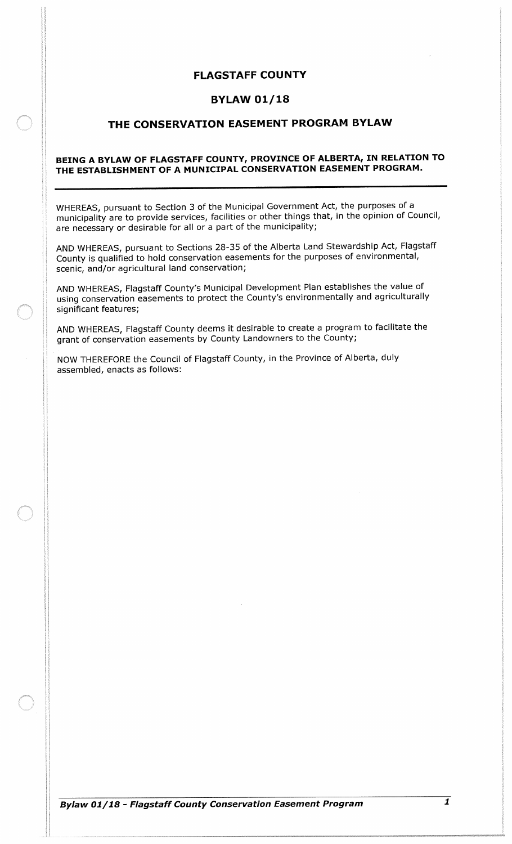# FLAGSTAFF COUNTY

# BYLAW 01/ 18

# THE CONSERVATION EASEMENT PROGRAM BYLAW

#### BEING A BYLAW OF FLAGSTAFF COUNTY, PROVINCE OF ALBERTA, IN RELATION TO THE ESTABLISHMENT OF A MUNICIPAL CONSERVATION EASEMENT PROGRAM.

WHEREAS, pursuant to Section 3 of the Municipal Government Act, the purposes of a municipality are to provide services, facilities or other things that, in the opinion of Council, are necessary or desirable for all or a part of the municipality;

AND WHEREAS, pursuant to Sections 28-35 of the Alberta Land Stewardship Act, Flagstaff County is qualified to hold conservation easements for the purposes of environmental, scenic, and/or agricultural land conservation;

AND WHEREAS, Flagstaff County's Municipal Development Plan establishes the value of using conservation easements to protect the County's environmentally and agriculturally significant features;

AND WHEREAS, Flagstaff County deems it desirable to create a program to facilitate the grant of conservation easements by County Landowners to the County;

NOW THEREFORE the Council of Flagstaff County, in the Province of Alberta, duly assembled, enacts as follows: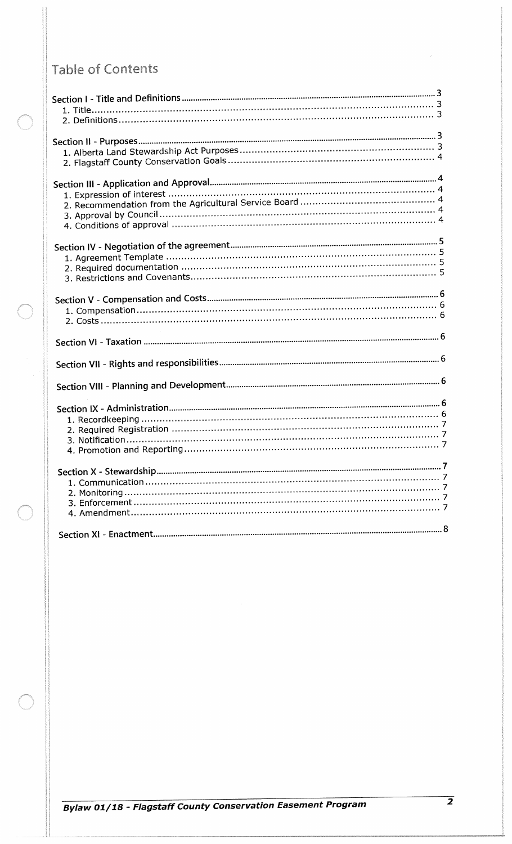# Table of Contents

 $\overline{2}$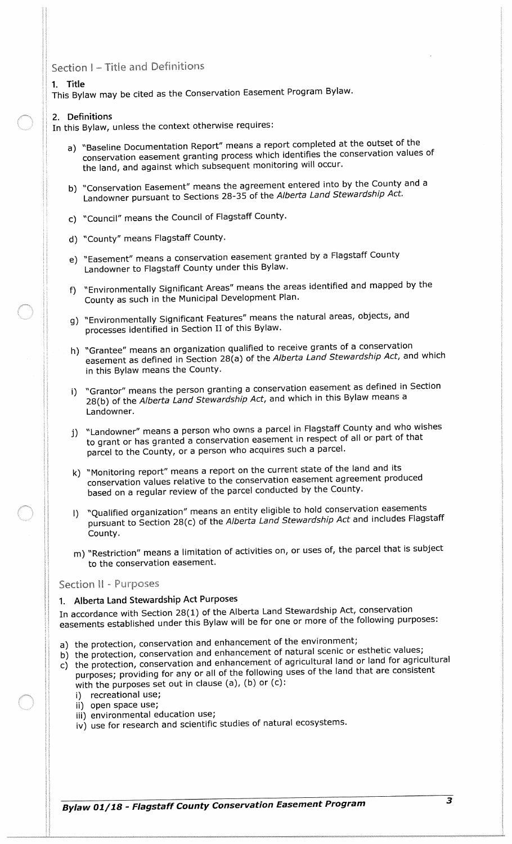# Section I - Title and Definitions

#### 1. Title

This Bylaw may be cited as the Conservation Easement Program Bylaw.

#### 2. Definitions

In this Bylaw, unless the context otherwise requires:

- a) "Baseline Documentation Report" means a report completed at the outset of the conservation easement granting process which identifies the conservation values of the land, and against which subsequent monitoring will occur.
- b) "Conservation Easement" means the agreement entered into by the County and a Landowner pursuant to Sections 28-35 of the Alberta Land Stewardship Act.
- c) " Council" means the Council of Flagstaff County.
- d) " County" means Flagstaff County.
- e) " Easement" means a conservation easement granted by a Flagstaff County Landowner to Flagstaff County under this Bylaw.
- f)" Environmentally Significant Areas" means the areas identified and mapped by the County as such in the Municipal Development Plan.
- g) Environmentally Significant Features" means the natural areas, objects, and processes identified in Section II of this Bylaw.
- h) "Grantee" means an organization qualified to receive grants of a conservation easement as defined in Section 28(a) of the Alberta Land Stewardship Act, and which in this Bylaw means the County.
- i) "Grantor" means the person granting a conservation easement as defined in Section 28(b) of the Alberta Land Stewardship Act, and which in this Bylaw means a Landowner.
- j) " Landowner" means <sup>a</sup> person who owns <sup>a</sup> parcel in Flagstaff County and who wishes to grant or has granted a conservation easement in respect of all or part of that parcel to the County, or a person who acquires such a parcel.
- k) " Monitoring report" means a report on the current state of the land and its conservation values relative to the conservation easement agreement produced based on a regular review of the parcel conducted by the County.
- 1) " Qualified organization" means an entity eligible to hold conservation easements pursuant to Section 28(c) of the Alberta Land Stewardship Act and includes Flagstaff County.
- m) " Restriction" means a limitation of activities on, or uses of, the parcel that is subject to the conservation easement.

#### Section II - Purposes

#### 1. Alberta Land Stewardship Act Purposes

In accordance with Section 28(1) of the Alberta Land Stewardship Act, conservation easements established under this Bylaw will be for one or more of the following purposes:

- a) the protection, conservation and enhancement of the environment;
- b) the protection, conservation and enhancement of natural scenic or esthetic values;
- c) the protection, conservation and enhancement of agricultural land or land for agricultural purposes; providing for any or all of the following uses of the land that are consistent with the purposes set out in clause (a), (b) or  $(c)$ :
	- i) recreational use;
	- ii) open space use;
	- iii) environmental education use;
	- iv) use for research and scientific studies of natural ecosystems.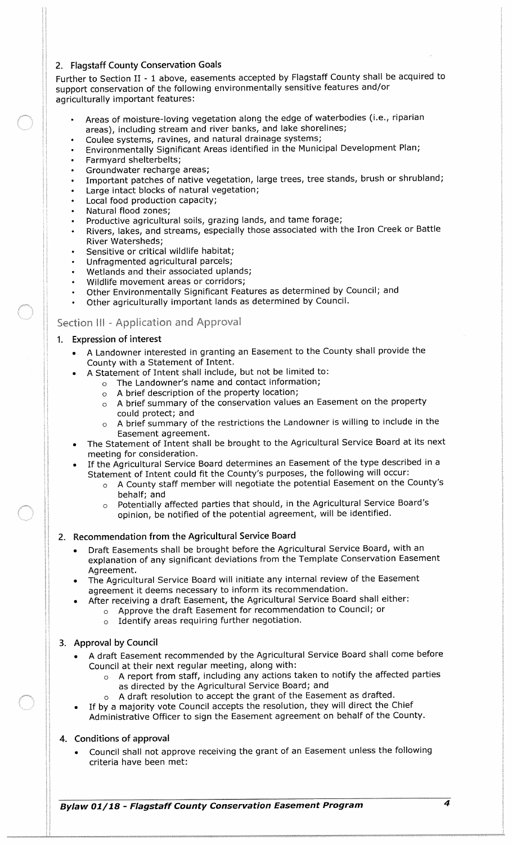#### 2. Flagstaff County Conservation Goals

Further to Section II - <sup>1</sup> above, easements accepted by Flagstaff County shall be acquired to support conservation of the following environmentally sensitive features and/or agriculturally important features:

- Areas of moisture-loving vegetation along the edge of waterbodies (i.e., riparian areas), including stream and river banks, and lake shorelines;
- Coulee systems, ravines, and natural drainage systems;
- Environmentally Significant Areas identified in the Municipal Development Plan;
- Farmyard shelterbelts;
- Groundwater recharge areas;
- Important patches of native vegetation, large trees, tree stands, brush or shrubland;
- Large intact blocks of natural vegetation;
- Local food production capacity;
- Natural flood zones;
- Productive agricultural soils, grazing lands, and tame forage;
- Rivers, lakes, and streams, especially those associated with the Iron Creek or Battle River Watersheds;
- Sensitive or critical wildlife habitat;
- Unfragmented agricultural parcels;
- Wetlands and their associated uplands;
- Wildlife movement areas or corridors;
- Other Environmentally Significant Features as determined by Council; and
- Other agriculturally important lands as determined by Council.

### Section III - Application and Approval

#### 1. Expression of interest

- A Landowner interested in granting an Easement to the County shall provide the County with <sup>a</sup> Statement of Intent.
	- A Statement of Intent shall include, but not be limited to:
		- $o$  The Landowner's name and contact information;
		- <sup>o</sup> A brief description of the property location;
		- o A brief summary of the conservation values an Easement on the property could protect; and
		- <sup>o</sup> A brief summary of the restrictions the Landowner is willing to include in the Easement agreement.
- The Statement of Intent shall be brought to the Agricultural Service Board at its next meeting for consideration.
- If the Agricultural Service Board determines an Easement of the type described in <sup>a</sup> Statement of Intent could fit the County's purposes, the following will occur:
	- $\circ$  A County staff member will negotiate the potential Easement on the County's behalf; and
	- o Potentially affected parties that should, in the Agricultural Service Board's opinion, be notified of the potential agreement, will be identified.

# 2. Recommendation from the Agricultural Service Board

- Draft Easements shall be brought before the Agricultural Service Board, with an explanation of any significant deviations from the Template Conservation Easement Agreement.
- The Agricultural Service Board will initiate any internal review of the Easement agreement it deems necessary to inform its recommendation.
- After receiving <sup>a</sup> draft Easement, the Agricultural Service Board shall either:
	- <sup>o</sup> Approve the draft Easement for recommendation to Council; or
		- <sup>o</sup> Identify areas requiring further negotiation.

#### 3. Approval by Council

- A draft Easement recommended by the Agricultural Service Board shall come before Council at their next regular meeting, along with:
	- <sup>o</sup> A report from staff, including any actions taken to notify the affected parties as directed by the Agricultural Service Board; and
	- $\circ$  A draft resolution to accept the grant of the Easement as drafted.
- If by <sup>a</sup> majority vote Council accepts the resolution, they will direct the Chief Administrative Officer to sign the Easement agreement on behalf of the County.

# 4. Conditions of approval

Council shall not approve receiving the grant of an Easement unless the following criteria have been met:

Bylaw 01/ 18 - Flagstaff County Conservation Easement Program <sup>4</sup>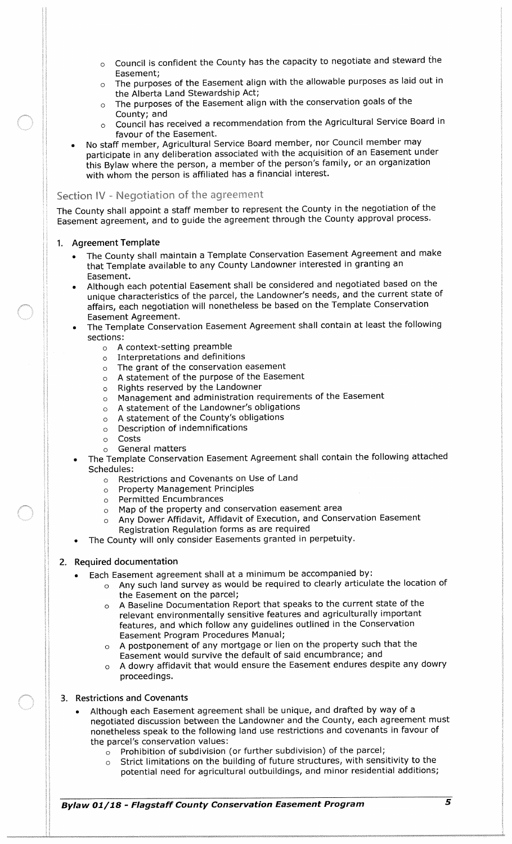- $\circ$  Council is confident the County has the capacity to negotiate and steward the Easement;
- <sup>o</sup> The purposes of the Easement align with the allowable purposes as laid out in the Alberta Land Stewardship Act;
- <sup>o</sup> The purposes of the Easement align with the conservation goals of the County; and
- <sup>o</sup> Council has received a recommendation from the Agricultural Service Board in favour of the Easement.
- No staff member, Agricultural Service Board member, nor Council member may participate in any deliberation associated with the acquisition of an Easement under this Bylaw where the person, a member of the person's family, or an organization with whom the person is affiliated has a financial interest.

#### Section IV - Negotiation of the agreement

The County shall appoint a staff member to represent the County in the negotiation of the Easement agreement, and to guide the agreement through the County approval process.

#### 1. Agreement Template

- The County shall maintain a Template Conservation Easement Agreement and make that Template available to any County Landowner interested in granting an Easement.
- Although each potential Easement shall be considered and negotiated based on the unique characteristics of the parcel, the Landowner's needs, and the current state of affairs, each negotiation will nonetheless be based on the Template Conservation Easement Agreement.
- The Template Conservation Easement Agreement shall contain at least the following sections:
	- <sup>o</sup> A context setting preamble
	- o Interpretations and definitions
	- <sup>o</sup> The grant of the conservation easement
	- <sup>o</sup> A statement of the purpose of the Easement
	- <sup>o</sup> Rights reserved by the Landowner
	- <sup>o</sup> Management and administration requirements of the Easement
	- $\circ$  A statement of the Landowner's obligations
	- o A statement of the County's obligations
	- <sup>o</sup> Description of indemnifications
	- o Costs
	- o General matters
	- The Template Conservation Easement Agreement shall contain the following attached Schedules:
		- <sup>o</sup> Restrictions and Covenants on Use of Land
		- o Property Management Principles
		- <sup>o</sup> Permitted Encumbrances
		- <sup>o</sup> Map of the property and conservation easement area
		- Any Dower Affidavit, Affidavit of Execution, and Conservation Easement Registration Regulation forms as are required
	- The County will only consider Easements granted in perpetuity.

#### 2. Required documentation

- Each Easement agreement shall at a minimum be accompanied by:
	- <sup>o</sup> Any such land survey as would be required to clearly articulate the location of the Easement on the parcel;
	- o A Baseline Documentation Report that speaks to the current state of the relevant environmentally sensitive features and agriculturally important features, and which follow any guidelines outlined in the Conservation Easement Program Procedures Manual;
	- A postponement of any mortgage or lien on the property such that the Easement would survive the default of said encumbrance; and
	- <sup>o</sup> A dowry affidavit that would ensure the Easement endures despite any dowry proceedings.

#### 3. Restrictions and Covenants

- Although each Easement agreement shall be unique, and drafted by way of a negotiated discussion between the Landowner and the County, each agreement must nonetheless speak to the following land use restrictions and covenants in favour of the parcel's conservation values:
	- $\circ$  Prohibition of subdivision (or further subdivision) of the parcel;
	- <sup>o</sup> Strict limitations on the building of future structures, with sensitivity to the potential need for agricultural outbuildings, and minor residential additions;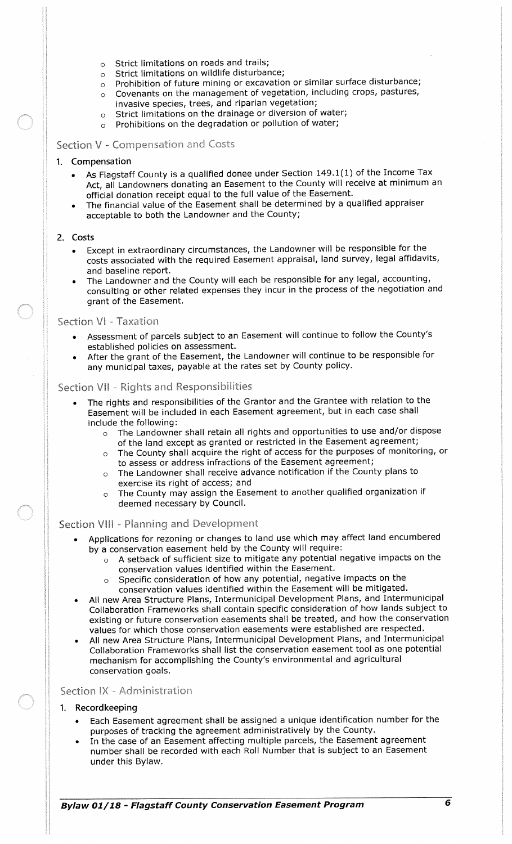- <sup>o</sup> Strict limitations on roads and trails;
- o Strict limitations on wildlife disturbance;
- <sup>o</sup> Prohibition of future mining or excavation or similar surface disturbance;
- <sup>o</sup> Covenants on the management of vegetation, including crops, pastures, invasive species, trees, and riparian vegetation;
- <sup>o</sup> Strict limitations on the drainage or diversion of water;
- <sup>o</sup> Prohibitions on the degradation or pollution of water;

#### Section V - Compensation and Costs

#### 1. Compensation

- As Flagstaff County is a qualified donee under Section 149. 1( 1) of the Income Tax Act, all Landowners donating an Easement to the County will receive at minimum an official donation receipt equal to the full value of the Easement.
- The financial value of the Easement shall be determined by a qualified appraiser acceptable to both the Landowner and the County;

#### 2. Costs

- Except in extraordinary circumstances, the Landowner will be responsible for the costs associated with the required Easement appraisal, land survey, legal affidavits, and baseline report.
- The Landowner and the County will each be responsible for any legal, accounting, consulting or other related expenses they incur in the process of the negotiation and grant of the Easement.

#### Section V1 - Taxation

- Assessment of parcels subject to an Easement will continue to follow the County's established policies on assessment.
- After the grant of the Easement, the Landowner will continue to be responsible for any municipal taxes, payable at the rates set by County policy.

#### Section VII - Rights and Responsibilities

- The rights and responsibilities of the Grantor and the Grantee with relation to the Easement will be included in each Easement agreement, but in each case shall include the following:
	- The Landowner shall retain all rights and opportunities to use and/or dispose of the land except as granted or restricted in the Easement agreement;
	- <sup>o</sup> The County shall acquire the right of access for the purposes of monitoring, or to assess or address infractions of the Easement agreement;
	- <sup>o</sup> The Landowner shall receive advance notification if the County plans to exercise its right of access; and
	- <sup>o</sup> The County may assign the Easement to another qualified organization if deemed necessary by Council.

#### Section VIII - Planning and Development

- Applications for rezoning or changes to land use which may affect land encumbered by a conservation easement held by the County will require:
	- A setback of sufficient size to mitigate any potential negative impacts on the conservation values identified within the Easement.
	- Specific consideration of how any potential, negative impacts on the conservation values identified within the Easement will be mitigated.
- All new Area Structure Plans, Intermunicipal Development Plans, and Intermunicipal Collaboration Frameworks shall contain specific consideration of how lands subject to existing or future conservation easements shall be treated, and how the conservation values for which those conservation easements were established are respected.
- All new Area Structure Plans, Intermunicipal Development Plans, and Intermunicipal Collaboration Frameworks shall list the conservation easement tool as one potential mechanism for accomplishing the County's environmental and agricultural conservation goals.

#### Section IX - Administration

#### 1. Recordkeeping

- Each Easement agreement shall be assigned <sup>a</sup> unique identification number for the purposes of tracking the agreement administratively by the County.
- In the case of an Easement affecting multiple parcels, the Easement agreement number shall be recorded with each Roll Number that is subject to an Easement under this Bylaw.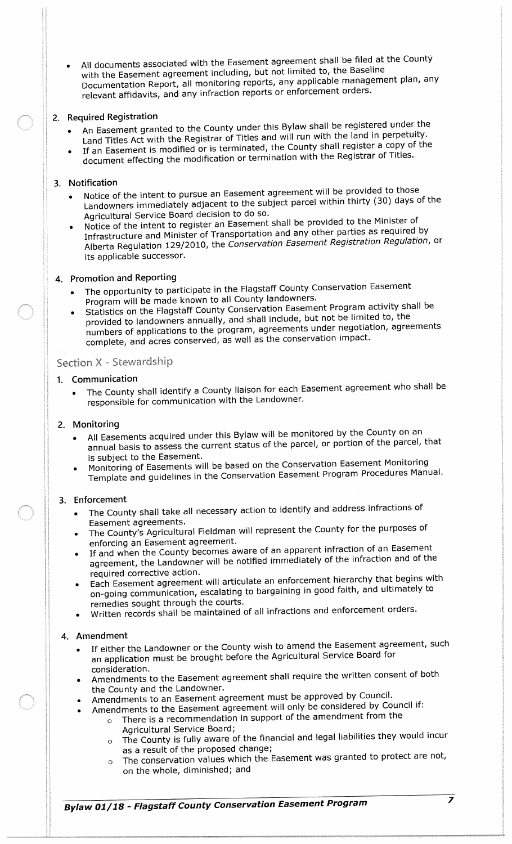All documents associated with the Easement agreement shall be filed at the County with the Easement agreement including, but not limited to, the Baseline Documentation Report, all monitoring reports, any applicable management plan, any relevant affidavits, and any infraction reports or enforcement orders.

# 2. Required Registration

- An Easement granted to the County under this Bylaw shall be registered under the Land Titles Act with the Registrar of Titles and will run with the land in perpetuity.
- If an Easement is modified or is terminated, the County shall register <sup>a</sup> copy of the document effecting the modification or termination with the Registrar of Titles.

#### 3. Notification

- Notice of the intent to pursue an Easement agreement will be provided to those Landowners immediately adjacent to the subject parcel within thirty ( 30) days of the Agricultural Service Board decision to do so.
- Notice of the intent to register an Easement shall be provided to the Minister of Infrastructure and Minister of Transportation and any other parties as required by Alberta Regulation 129/ 2010, the Conservation Easement Registration Regulation, or its applicable successor.

# 4. Promotion and Reporting

- The opportunity to participate in the Flagstaff County Conservation Easement Program will be made known to all County landowners.
- Statistics on the Flagstaff County Conservation Easement Program activity shall be provided to landowners annually, and shall include, but not be limited to, the numbers of applications to the program, agreements under negotiation, agreements complete, and acres conserved, as well as the conservation impact.

## Section X - Stewardship

# 1. Communication

The County shall identify a County liaison for each Easement agreement who shall be responsible for communication with the Landowner.

#### 2. Monitoring

- All Easements acquired under this Bylaw will be monitored by the County on an annual basis to assess the current status of the parcel, or portion of the parcel, that is subject to the Easement.
- is subject to the Easements will be based on the Conservation Easement Monitoring Monitoring of Easements will be based on the Conservation Easement Monitoring Template and guidelines in the Conservation Easement Program Procedures Manual.

#### 3. Enforcement

- The County shall take all necessary action to identify and address infractions of Easement agreements.
- The County's Agricultural Fieldman will represent the County for the purposes of enforcing an Easement agreement.
- If and when the County becomes aware of an apparent infraction of an Easement agreement, the Landowner will be notified immediately of the infraction and of the required corrective action.
- Each Easement agreement will articulate an enforcement hierarchy that begins with on- going communication, escalating to bargaining in good faith, and ultimately to remedies sought through the courts.
- Written records shall be maintained of all infractions and enforcement orders.

#### 4. Amendment

- If either the Landowner or the County wish to amend the Easement agreement, such an application must be brought before the Agricultural Service Board for consideration.
- Amendments to the Easement agreement shall require the written consent of both the County and the Landowner.
- Amendments to an Easement agreement must be approved by Council.
- Amendments to the Easement agreement will only be considered by Council if:
	- <sup>o</sup> There is a recommendation in support of the amendment from the Agricultural Service Board;
		- <sup>o</sup> The County is fully aware of the financial and legal liabilities they would incur as a result of the proposed change;
		- <sup>o</sup> The conservation values which the Easement was granted to protect are not, on the whole, diminished; and

Bylaw 01/ 18 - Flagstaff County Conservation Easement Program

 $\overline{\mathbf{z}}$